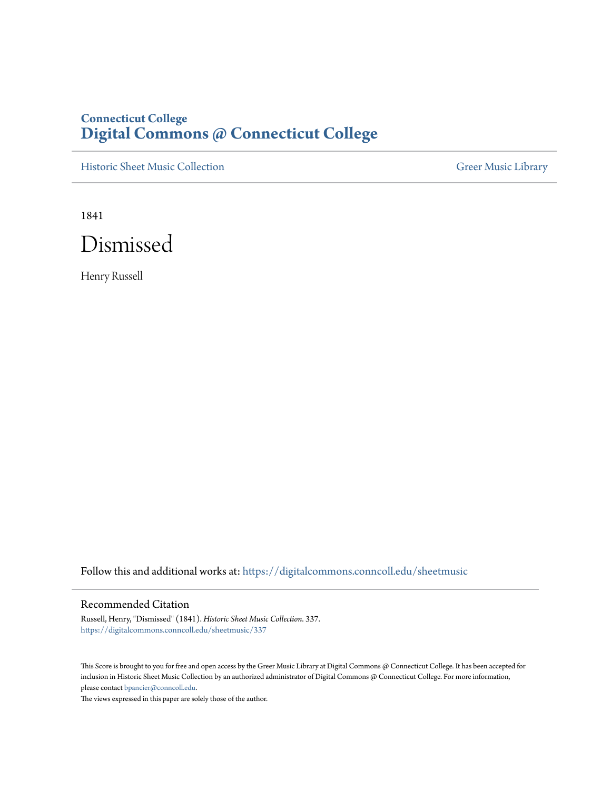## **Connecticut College [Digital Commons @ Connecticut College](https://digitalcommons.conncoll.edu?utm_source=digitalcommons.conncoll.edu%2Fsheetmusic%2F337&utm_medium=PDF&utm_campaign=PDFCoverPages)**

[Historic Sheet Music Collection](https://digitalcommons.conncoll.edu/sheetmusic?utm_source=digitalcommons.conncoll.edu%2Fsheetmusic%2F337&utm_medium=PDF&utm_campaign=PDFCoverPages) [Greer Music Library](https://digitalcommons.conncoll.edu/greerlibrary?utm_source=digitalcommons.conncoll.edu%2Fsheetmusic%2F337&utm_medium=PDF&utm_campaign=PDFCoverPages)

1841



Henry Russell

Follow this and additional works at: [https://digitalcommons.conncoll.edu/sheetmusic](https://digitalcommons.conncoll.edu/sheetmusic?utm_source=digitalcommons.conncoll.edu%2Fsheetmusic%2F337&utm_medium=PDF&utm_campaign=PDFCoverPages)

## Recommended Citation

Russell, Henry, "Dismissed" (1841). *Historic Sheet Music Collection*. 337. [https://digitalcommons.conncoll.edu/sheetmusic/337](https://digitalcommons.conncoll.edu/sheetmusic/337?utm_source=digitalcommons.conncoll.edu%2Fsheetmusic%2F337&utm_medium=PDF&utm_campaign=PDFCoverPages)

This Score is brought to you for free and open access by the Greer Music Library at Digital Commons @ Connecticut College. It has been accepted for inclusion in Historic Sheet Music Collection by an authorized administrator of Digital Commons @ Connecticut College. For more information, please contact [bpancier@conncoll.edu](mailto:bpancier@conncoll.edu).

The views expressed in this paper are solely those of the author.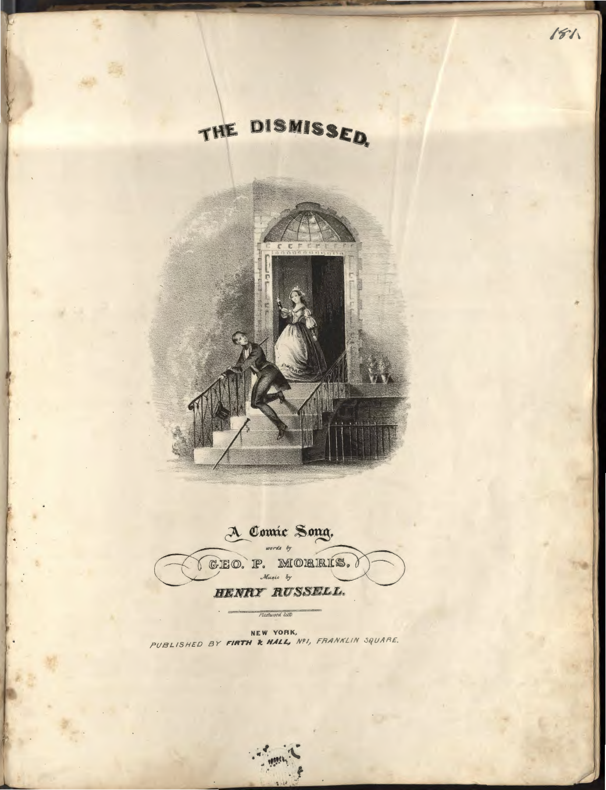## THE DISMISSED.

 $181$ 



A Comic Song. words by GEO. P. MORRIS. Music by HENRY RUSSELL. Flectwood littl.

NEW YORK, PUBLISHED BY FIRTH & HALL, NºI, FRANKLIN SQUARE.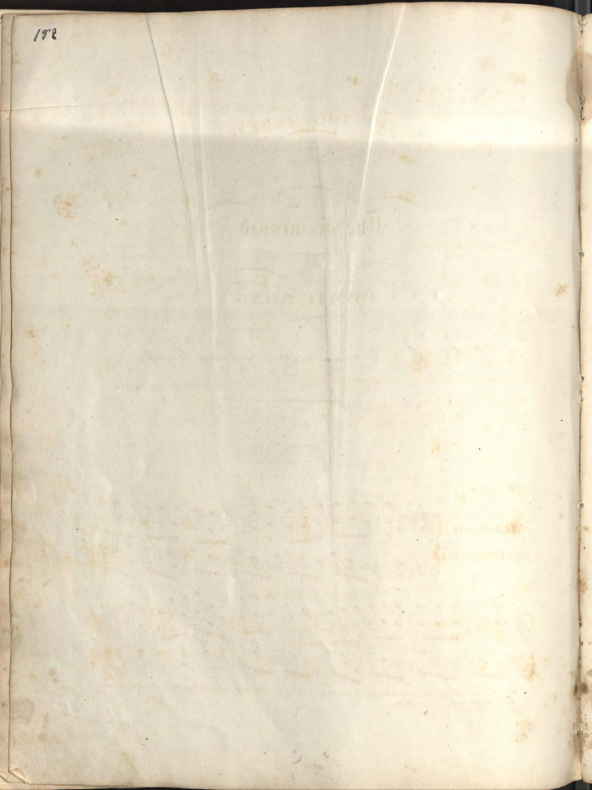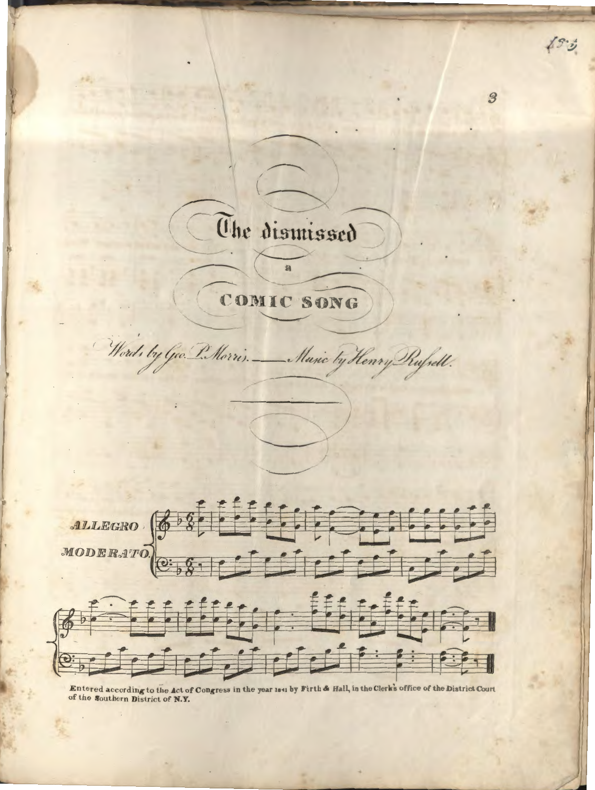$15.5$ 3 The dismissed 团 COMIC SONG Words by Go. P. Morris. \_\_ Munic by Henry Rufsell. ALLEGRO MODERATO

Entered according to the Act of Congress in the year 1841 by Firth & Hall, in the Clerk's office of the District Court of the Southern District of N.Y.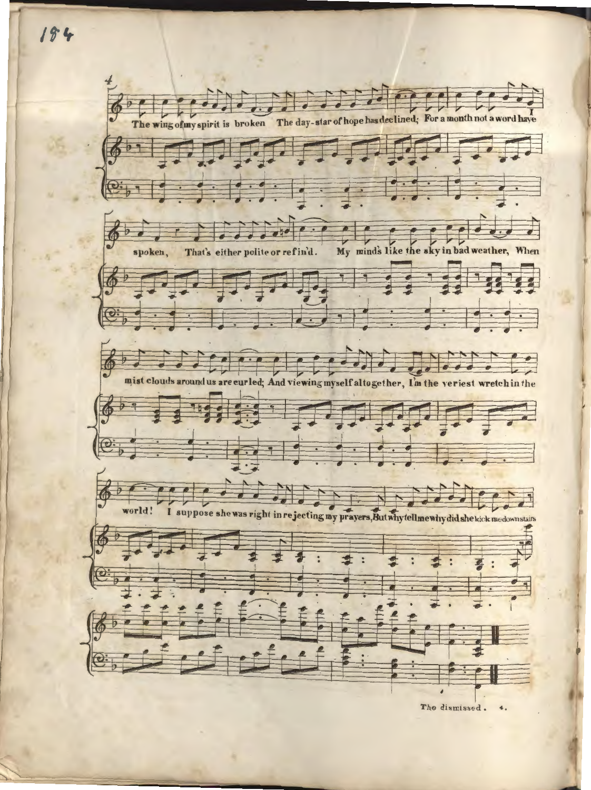184  $\theta$ The wing of my spirit is broken The day-star of hope has declined; For a month not a word have **Q:**  $\overline{\bullet}$  $\overline{\bullet}$  $\Phi$  $\overline{\bullet}$ My mind's like the sky in bad weather, When That's either polite or refin'd. spoken,  $\bullet$ ÷ mist clouds around us are curled; And viewing myself altogether, I'm the veriest wretch in the  $\overline{\cdot}$  $\overline{\bullet}$  $\overline{\bullet}$  $\vec{e}$  :  $\vec{e}$ I suppose she was right in rejecting my prayers, But why tellmewhy did she kick medownstairs world!  $\ddot{\cdot}$ 학 ÷  $\ddot{\cdot}$ 雪

The dismissed.  $\ddot{\bullet}$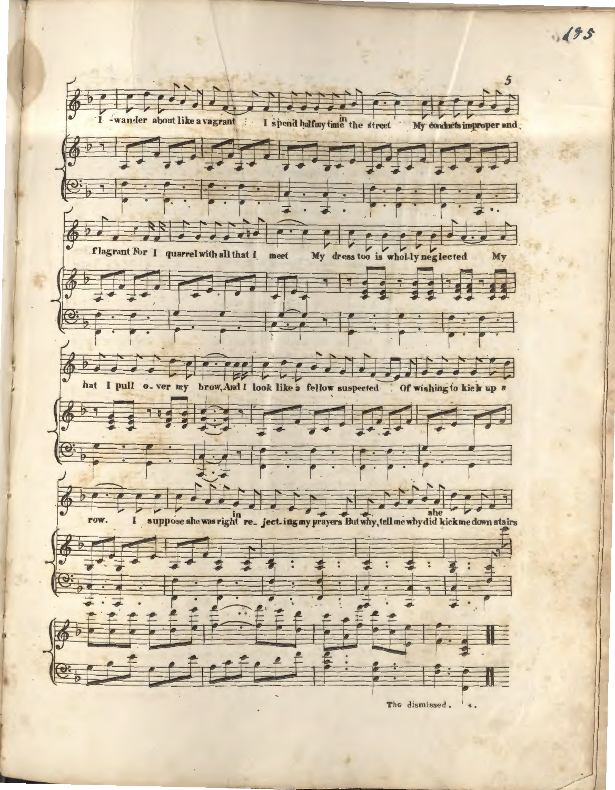